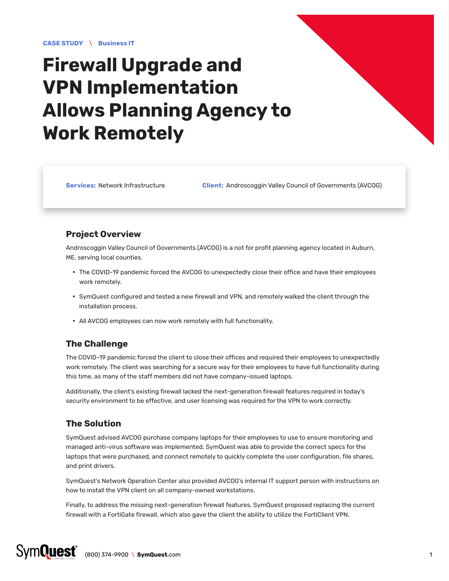# **Firewall Upgrade and VPN Implementation Allows Planning Agency to Work Remotely**

**Services:** Network Infrastructure **Client:** Androscoggin Valley Council of Governments (AVCOG)

### **Project Overview**

Androscoggin Valley Council of Governments (AVCOG) is a not for profit planning agency located in Auburn, ME, serving local counties.

- The COVID-19 pandemic forced the AVCOG to unexpectedly close their office and have their employees work remotely.
- y SymQuest configured and tested a new firewall and VPN, and remotely walked the client through the installation process.
- All AVCOG employees can now work remotely with full functionality.

## **The Challenge**

The COVID-19 pandemic forced the client to close their offices and required their employees to unexpectedly work remotely. The client was searching for a secure way for their employees to have full functionality during this time, as many of the staff members did not have company-issued laptops.

Additionally, the client's existing firewall lacked the next-generation firewall features required in today's security environment to be effective, and user licensing was required for the VPN to work correctly.

### **The Solution**

SymQuest advised AVCOG purchase company laptops for their employees to use to ensure monitoring and managed anti-virus software was implemented. SymQuest was able to provide the correct specs for the laptops that were purchased, and connect remotely to quickly complete the user configuration, file shares, and print drivers.

SymQuest's Network Operation Center also provided AVCOG's internal IT support person with instructions on how to install the VPN client on all company-owned workstations.

Finally, to address the missing next-generation firewall features, SymQuest proposed replacing the current firewall with a FortiGate firewall, which also gave the client the ability to utilize the FortiClient VPN.